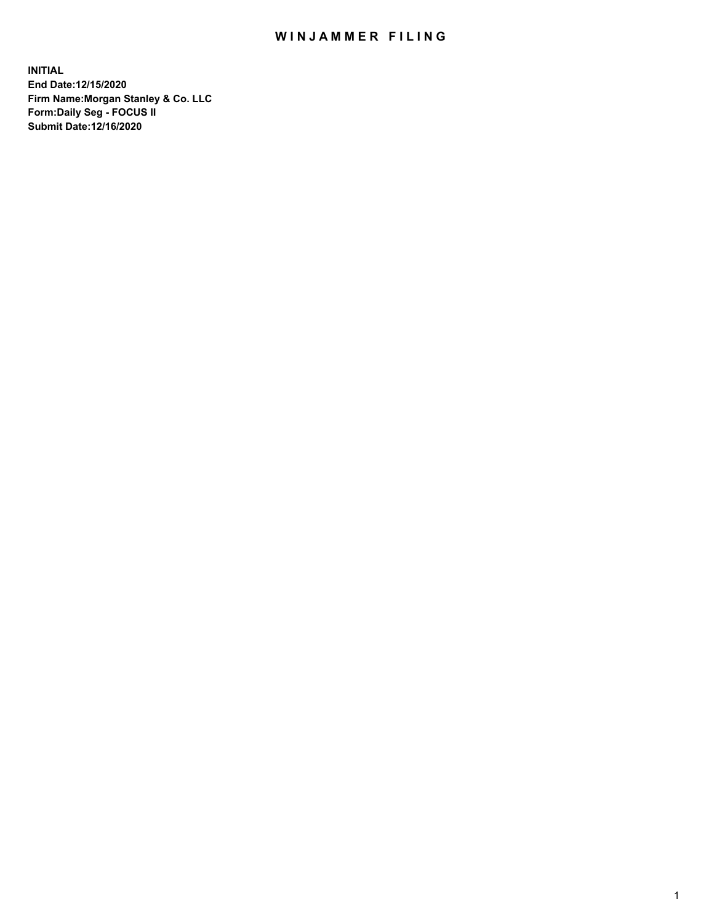## WIN JAMMER FILING

**INITIAL End Date:12/15/2020 Firm Name:Morgan Stanley & Co. LLC Form:Daily Seg - FOCUS II Submit Date:12/16/2020**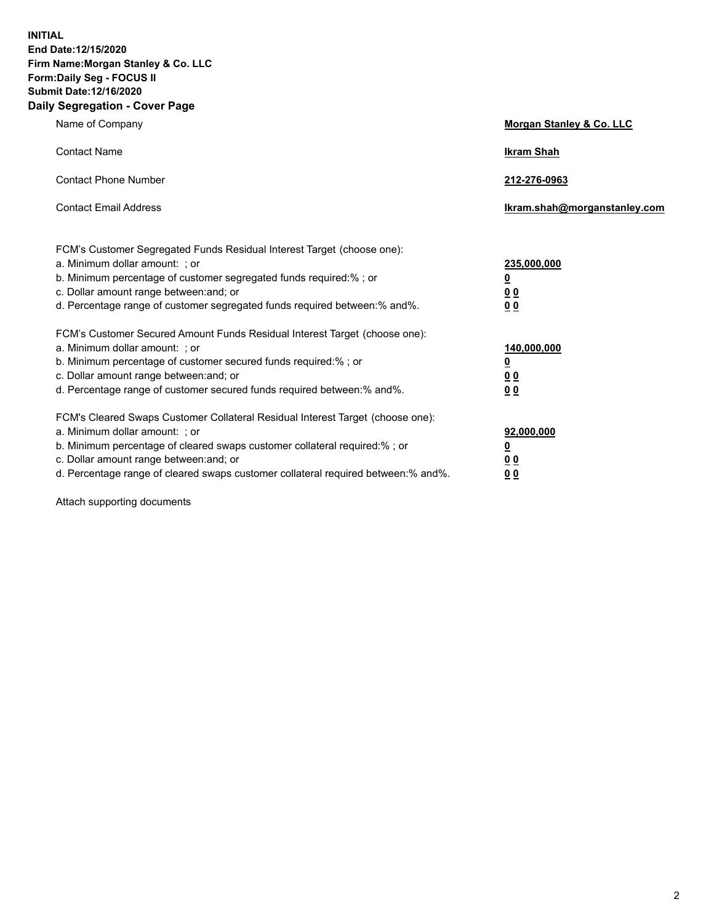**INITIAL End Date:12/15/2020 Firm Name:Morgan Stanley & Co. LLC Form:Daily Seg - FOCUS II Submit Date:12/16/2020 Daily Segregation - Cover Page**

| Name of Company                                                                                                                                                                                                                                                                                                                | Morgan Stanley & Co. LLC                                |
|--------------------------------------------------------------------------------------------------------------------------------------------------------------------------------------------------------------------------------------------------------------------------------------------------------------------------------|---------------------------------------------------------|
| <b>Contact Name</b>                                                                                                                                                                                                                                                                                                            | <b>Ikram Shah</b>                                       |
| <b>Contact Phone Number</b>                                                                                                                                                                                                                                                                                                    | 212-276-0963                                            |
| <b>Contact Email Address</b>                                                                                                                                                                                                                                                                                                   | Ikram.shah@morganstanley.com                            |
| FCM's Customer Segregated Funds Residual Interest Target (choose one):<br>a. Minimum dollar amount: ; or<br>b. Minimum percentage of customer segregated funds required:% ; or<br>c. Dollar amount range between: and; or<br>d. Percentage range of customer segregated funds required between:% and%.                         | 235,000,000<br><u>0</u><br><u>00</u><br><u>00</u>       |
| FCM's Customer Secured Amount Funds Residual Interest Target (choose one):<br>a. Minimum dollar amount: ; or<br>b. Minimum percentage of customer secured funds required:%; or<br>c. Dollar amount range between: and; or<br>d. Percentage range of customer secured funds required between:% and%.                            | 140,000,000<br><u>0</u><br><u>0 0</u><br>0 <sub>0</sub> |
| FCM's Cleared Swaps Customer Collateral Residual Interest Target (choose one):<br>a. Minimum dollar amount: ; or<br>b. Minimum percentage of cleared swaps customer collateral required:% ; or<br>c. Dollar amount range between: and; or<br>d. Percentage range of cleared swaps customer collateral required between:% and%. | 92,000,000<br><u>0</u><br><u>00</u><br>00               |

Attach supporting documents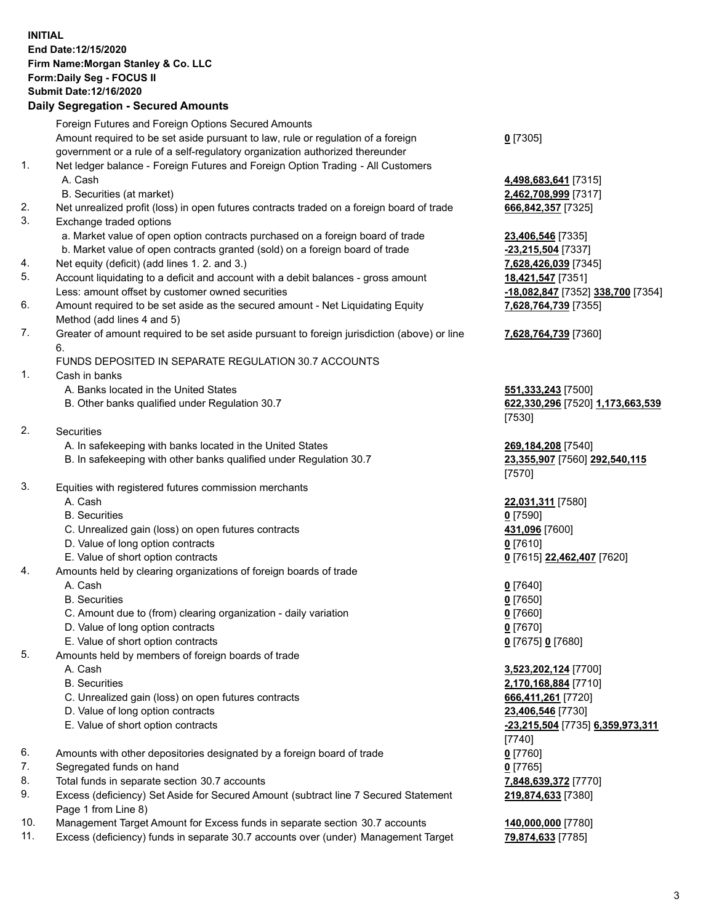## **INITIAL End Date:12/15/2020 Firm Name:Morgan Stanley & Co. LLC Form:Daily Seg - FOCUS II Submit Date:12/16/2020**

## **Daily Segregation - Secured Amounts**

|    | Foreign Futures and Foreign Options Secured Amounts                                                        |                                   |
|----|------------------------------------------------------------------------------------------------------------|-----------------------------------|
|    | Amount required to be set aside pursuant to law, rule or regulation of a foreign                           | $0$ [7305]                        |
|    | government or a rule of a self-regulatory organization authorized thereunder                               |                                   |
| 1. | Net ledger balance - Foreign Futures and Foreign Option Trading - All Customers                            |                                   |
|    | A. Cash                                                                                                    | 4,498,683,641 [7315]              |
|    | B. Securities (at market)                                                                                  | 2,462,708,999 [7317]              |
| 2. | Net unrealized profit (loss) in open futures contracts traded on a foreign board of trade                  | 666,842,357 [7325]                |
| 3. | Exchange traded options                                                                                    |                                   |
|    | a. Market value of open option contracts purchased on a foreign board of trade                             | 23,406,546 [7335]                 |
|    | b. Market value of open contracts granted (sold) on a foreign board of trade                               | -23,215,504 [7337]                |
| 4. | Net equity (deficit) (add lines 1. 2. and 3.)                                                              | 7,628,426,039 [7345]              |
| 5. | Account liquidating to a deficit and account with a debit balances - gross amount                          | 18,421,547 [7351]                 |
|    | Less: amount offset by customer owned securities                                                           | -18,082,847 [7352] 338,700 [7354] |
| 6. | Amount required to be set aside as the secured amount - Net Liquidating Equity                             | 7,628,764,739 [7355]              |
|    | Method (add lines 4 and 5)                                                                                 |                                   |
| 7. | Greater of amount required to be set aside pursuant to foreign jurisdiction (above) or line<br>6.          | 7,628,764,739 [7360]              |
|    | FUNDS DEPOSITED IN SEPARATE REGULATION 30.7 ACCOUNTS                                                       |                                   |
| 1. | Cash in banks                                                                                              |                                   |
|    | A. Banks located in the United States                                                                      | 551,333,243 [7500]                |
|    | B. Other banks qualified under Regulation 30.7                                                             | 622,330,296 [7520] 1,173,663,539  |
|    |                                                                                                            | [7530]                            |
| 2. | <b>Securities</b>                                                                                          |                                   |
|    | A. In safekeeping with banks located in the United States                                                  | 269,184,208 [7540]                |
|    | B. In safekeeping with other banks qualified under Regulation 30.7                                         | 23,355,907 [7560] 292,540,115     |
| 3. |                                                                                                            | [7570]                            |
|    | Equities with registered futures commission merchants                                                      |                                   |
|    | A. Cash                                                                                                    | 22,031,311 [7580]                 |
|    | <b>B.</b> Securities                                                                                       | $0$ [7590]                        |
|    | C. Unrealized gain (loss) on open futures contracts                                                        | 431,096 [7600]                    |
|    | D. Value of long option contracts                                                                          | $0$ [7610]                        |
|    | E. Value of short option contracts                                                                         | 0 [7615] 22,462,407 [7620]        |
| 4. | Amounts held by clearing organizations of foreign boards of trade                                          |                                   |
|    | A. Cash                                                                                                    | $0$ [7640]                        |
|    | <b>B.</b> Securities                                                                                       | $0$ [7650]                        |
|    | C. Amount due to (from) clearing organization - daily variation                                            | $0$ [7660]                        |
|    | D. Value of long option contracts                                                                          | $0$ [7670]                        |
| 5. | E. Value of short option contracts                                                                         | 0 [7675] 0 [7680]                 |
|    | Amounts held by members of foreign boards of trade                                                         |                                   |
|    | A. Cash                                                                                                    | 3,523,202,124 [7700]              |
|    | <b>B.</b> Securities                                                                                       | 2,170,168,884 [7710]              |
|    | C. Unrealized gain (loss) on open futures contracts                                                        | 666,411,261 [7720]                |
|    | D. Value of long option contracts                                                                          | 23,406,546 [7730]                 |
|    | E. Value of short option contracts                                                                         | -23,215,504 [7735] 6,359,973,311  |
|    |                                                                                                            | [7740]                            |
| 6. | Amounts with other depositories designated by a foreign board of trade                                     | $0$ [7760]                        |
| 7. | Segregated funds on hand                                                                                   | $0$ [7765]                        |
| 8. | Total funds in separate section 30.7 accounts                                                              | 7,848,639,372 [7770]              |
| 9. | Excess (deficiency) Set Aside for Secured Amount (subtract line 7 Secured Statement<br>Page 1 from Line 8) | 219,874,633 [7380]                |

- 10. Management Target Amount for Excess funds in separate section 30.7 accounts **140,000,000** [7780]
- 11. Excess (deficiency) funds in separate 30.7 accounts over (under) Management Target **79,874,633** [7785]

3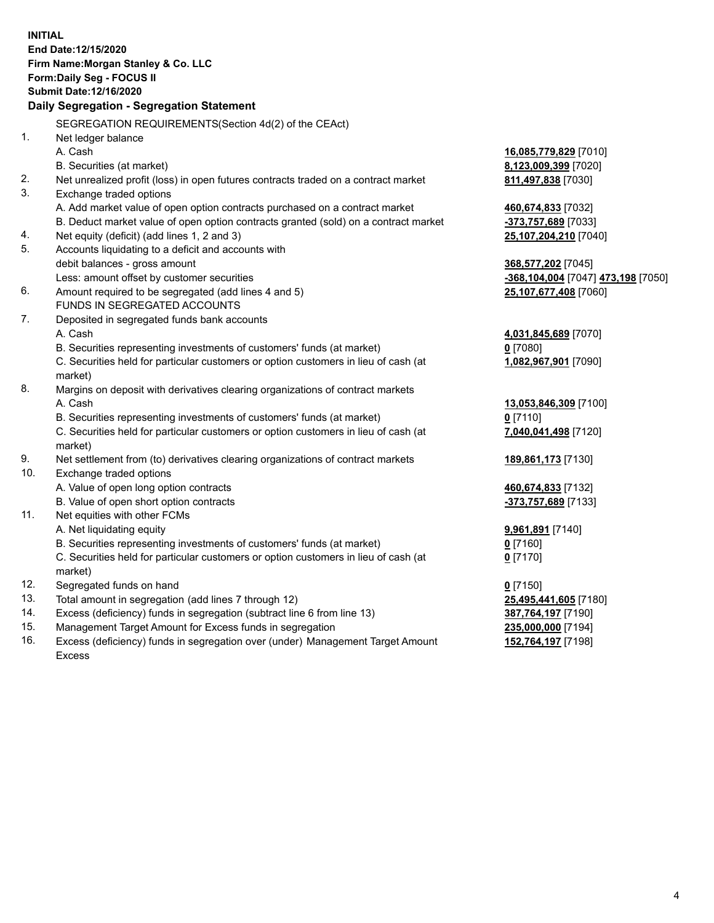|     | <b>INITIAL</b><br>End Date:12/15/2020<br>Firm Name: Morgan Stanley & Co. LLC<br>Form: Daily Seg - FOCUS II<br>Submit Date: 12/16/2020 |                                    |
|-----|---------------------------------------------------------------------------------------------------------------------------------------|------------------------------------|
|     | Daily Segregation - Segregation Statement                                                                                             |                                    |
|     | SEGREGATION REQUIREMENTS(Section 4d(2) of the CEAct)                                                                                  |                                    |
| 1.  | Net ledger balance                                                                                                                    |                                    |
|     | A. Cash                                                                                                                               | 16,085,779,829 [7010]              |
|     | B. Securities (at market)                                                                                                             | 8,123,009,399 [7020]               |
| 2.  | Net unrealized profit (loss) in open futures contracts traded on a contract market                                                    | 811,497,838 [7030]                 |
| 3.  | Exchange traded options                                                                                                               |                                    |
|     | A. Add market value of open option contracts purchased on a contract market                                                           | 460,674,833 [7032]                 |
|     | B. Deduct market value of open option contracts granted (sold) on a contract market                                                   | -373,757,689 [7033]                |
| 4.  | Net equity (deficit) (add lines 1, 2 and 3)                                                                                           | 25,107,204,210 [7040]              |
| 5.  | Accounts liquidating to a deficit and accounts with                                                                                   |                                    |
|     | debit balances - gross amount                                                                                                         | 368,577,202 [7045]                 |
|     | Less: amount offset by customer securities                                                                                            | -368,104,004 [7047] 473,198 [7050] |
| 6.  | Amount required to be segregated (add lines 4 and 5)                                                                                  | 25,107,677,408 [7060]              |
|     | FUNDS IN SEGREGATED ACCOUNTS                                                                                                          |                                    |
| 7.  | Deposited in segregated funds bank accounts                                                                                           |                                    |
|     | A. Cash                                                                                                                               | 4,031,845,689 [7070]               |
|     | B. Securities representing investments of customers' funds (at market)                                                                | $0$ [7080]                         |
|     | C. Securities held for particular customers or option customers in lieu of cash (at                                                   | 1,082,967,901 [7090]               |
|     | market)                                                                                                                               |                                    |
| 8.  | Margins on deposit with derivatives clearing organizations of contract markets                                                        |                                    |
|     | A. Cash                                                                                                                               | 13,053,846,309 [7100]              |
|     | B. Securities representing investments of customers' funds (at market)                                                                | $0$ [7110]                         |
|     | C. Securities held for particular customers or option customers in lieu of cash (at<br>market)                                        | 7,040,041,498 [7120]               |
| 9.  | Net settlement from (to) derivatives clearing organizations of contract markets                                                       | 189,861,173 [7130]                 |
| 10. | Exchange traded options                                                                                                               |                                    |
|     | A. Value of open long option contracts                                                                                                | 460,674,833 [7132]                 |
|     | B. Value of open short option contracts                                                                                               | -373,757,689 [7133]                |
| 11. | Net equities with other FCMs                                                                                                          |                                    |
|     | A. Net liquidating equity                                                                                                             | 9,961,891 [7140]                   |
|     | B. Securities representing investments of customers' funds (at market)                                                                | $0$ [7160]                         |
|     | C. Securities held for particular customers or option customers in lieu of cash (at                                                   | $0$ [7170]                         |
|     | market)                                                                                                                               |                                    |
| 12. | Segregated funds on hand                                                                                                              | $0$ [7150]                         |
| 13. | Total amount in segregation (add lines 7 through 12)                                                                                  | 25,495,441,605 [7180]              |
| 14. | Excess (deficiency) funds in segregation (subtract line 6 from line 13)                                                               | 387,764,197 [7190]                 |
| 15. | Management Target Amount for Excess funds in segregation                                                                              | 235,000,000 [7194]                 |
| 16. | Excess (deficiency) funds in segregation over (under) Management Target Amount                                                        | 152,764,197 [7198]                 |

Excess